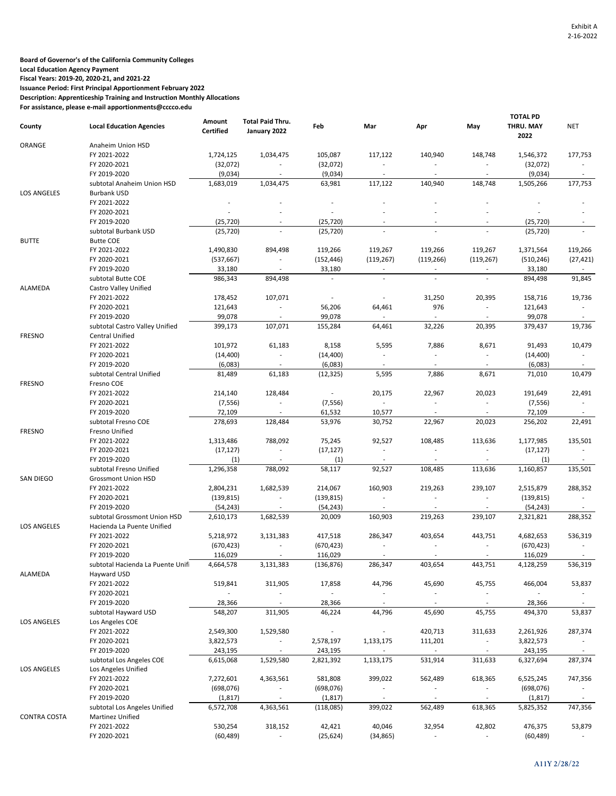**Board of Governor's of the California Community Colleges**

**Local Education Agency Payment**

**Fiscal Years: 2019-20, 2020-21, and 2021-22**

**Issuance Period: First Principal Apportionment February 2022**

**Description: Apprenticeship Training and Instruction Monthly Allocations**

**For assistance, please e-mail apportionments@cccco.edu**

| <b>Total Paid Thru.</b><br>Amount<br><b>Local Education Agencies</b><br>Feb<br>Mar<br>Apr<br>County<br><b>Certified</b><br>January 2022<br>ORANGE<br>Anaheim Union HSD<br>FY 2021-2022<br>1,724,125<br>1,034,475<br>105,087<br>117,122<br>140,940<br>FY 2020-2021<br>(32,072)<br>(32,072)<br>$\overline{\phantom{a}}$<br>$\overline{\phantom{a}}$<br>$\overline{\phantom{a}}$<br>FY 2019-2020<br>(9,034)<br>(9,034)<br>$\overline{\phantom{a}}$<br>$\overline{\phantom{a}}$<br>$\overline{\phantom{a}}$<br>117,122<br>140,940<br>subtotal Anaheim Union HSD<br>1,683,019<br>1,034,475<br>63,981<br>LOS ANGELES<br><b>Burbank USD</b><br>FY 2021-2022<br>FY 2020-2021<br>FY 2019-2020<br>(25,720)<br>(25, 720)<br>(25, 720)<br>subtotal Burbank USD<br>(25, 720)<br><b>BUTTE</b><br><b>Butte COE</b><br>119,267<br>119,266<br>FY 2021-2022<br>1,490,830<br>894,498<br>119,266<br>FY 2020-2021<br>(537, 667)<br>(152, 446)<br>(119, 267)<br>(119, 266)<br>$\overline{\phantom{a}}$<br>FY 2019-2020<br>33,180<br>33,180<br>986,343<br>894,498<br>subtotal Butte COE<br>$\overline{a}$<br>L,<br>ALAMEDA<br>Castro Valley Unified<br>FY 2021-2022<br>178,452<br>107,071<br>31,250<br>$\overline{\phantom{a}}$<br>$\overline{a}$<br>FY 2020-2021<br>976<br>121,643<br>56,206<br>64,461<br>$\overline{\phantom{a}}$<br>99,078<br>99,078<br>FY 2019-2020<br>٠<br>$\sim$<br>$\sim$<br>107,071<br>32,226<br>399,173<br>155,284<br>64,461<br>subtotal Castro Valley Unified<br><b>FRESNO</b><br><b>Central Unified</b><br>FY 2021-2022<br>101,972<br>61,183<br>5,595<br>7,886<br>8,158<br>FY 2020-2021<br>(14, 400)<br>(14, 400)<br>$\blacksquare$<br>$\overline{\phantom{a}}$<br>$\overline{\phantom{a}}$<br>FY 2019-2020<br>(6,083)<br>(6,083)<br>81,489<br>61,183<br>5,595<br>7,886<br>subtotal Central Unified<br>(12, 325)<br><b>FRESNO</b><br>Fresno COE<br>FY 2021-2022<br>214,140<br>128,484<br>20,175<br>22,967<br>$\sim$<br>FY 2020-2021<br>(7, 556)<br>(7, 556)<br>$\overline{\phantom{a}}$<br>$\overline{\phantom{a}}$<br>$\overline{\phantom{a}}$<br>FY 2019-2020<br>72,109<br>61,532<br>10,577<br>subtotal Fresno COE<br>278,693<br>128,484<br>53,976<br>30,752<br>22,967<br><b>FRESNO</b><br>Fresno Unified<br>788,092<br>FY 2021-2022<br>1,313,486<br>75,245<br>92,527<br>108,485<br>FY 2020-2021<br>(17, 127)<br>(17, 127)<br>$\overline{\phantom{a}}$<br>L,<br>FY 2019-2020<br>(1)<br>(1)<br>1,296,358<br>788,092<br>58,117<br>92,527<br>subtotal Fresno Unified<br>108,485<br>SAN DIEGO<br><b>Grossmont Union HSD</b><br>1,682,539<br>214,067<br>160,903<br>FY 2021-2022<br>2,804,231<br>219,263<br>FY 2020-2021<br>(139, 815)<br>(139, 815)<br>٠<br>ä,<br>$\overline{a}$<br>FY 2019-2020<br>(54, 243)<br>(54, 243)<br>2,610,173<br>1,682,539<br>20,009<br>160,903<br>219,263<br>subtotal Grossmont Union HSD<br>LOS ANGELES<br>Hacienda La Puente Unified | May<br>148,748<br>$\overline{\phantom{a}}$<br>148,748<br>119,267<br>(119, 267)<br>20,395<br>$\overline{\phantom{a}}$<br>$\sim$<br>20,395 | <b>TOTAL PD</b><br>THRU. MAY<br>2022<br>1,546,372<br>(32,072)<br>(9,034)<br>1,505,266<br>(25, 720)<br>(25, 720)<br>1,371,564<br>(510, 246)<br>33,180<br>894,498<br>158,716<br>121,643<br>99,078 | <b>NET</b><br>177,753<br>$\sim$<br>177,753<br>119,266<br>(27, 421)<br>91,845<br>19,736<br>$\overline{\phantom{a}}$ |
|--------------------------------------------------------------------------------------------------------------------------------------------------------------------------------------------------------------------------------------------------------------------------------------------------------------------------------------------------------------------------------------------------------------------------------------------------------------------------------------------------------------------------------------------------------------------------------------------------------------------------------------------------------------------------------------------------------------------------------------------------------------------------------------------------------------------------------------------------------------------------------------------------------------------------------------------------------------------------------------------------------------------------------------------------------------------------------------------------------------------------------------------------------------------------------------------------------------------------------------------------------------------------------------------------------------------------------------------------------------------------------------------------------------------------------------------------------------------------------------------------------------------------------------------------------------------------------------------------------------------------------------------------------------------------------------------------------------------------------------------------------------------------------------------------------------------------------------------------------------------------------------------------------------------------------------------------------------------------------------------------------------------------------------------------------------------------------------------------------------------------------------------------------------------------------------------------------------------------------------------------------------------------------------------------------------------------------------------------------------------------------------------------------------------------------------------------------------------------------------------------------------------------------------------------------------------------------------------------------------------------------------------------------------------------------------------------------------------------------------------------------------------------------------------------------------------------------------------------------------------|------------------------------------------------------------------------------------------------------------------------------------------|-------------------------------------------------------------------------------------------------------------------------------------------------------------------------------------------------|--------------------------------------------------------------------------------------------------------------------|
|                                                                                                                                                                                                                                                                                                                                                                                                                                                                                                                                                                                                                                                                                                                                                                                                                                                                                                                                                                                                                                                                                                                                                                                                                                                                                                                                                                                                                                                                                                                                                                                                                                                                                                                                                                                                                                                                                                                                                                                                                                                                                                                                                                                                                                                                                                                                                                                                                                                                                                                                                                                                                                                                                                                                                                                                                                                                    |                                                                                                                                          |                                                                                                                                                                                                 |                                                                                                                    |
|                                                                                                                                                                                                                                                                                                                                                                                                                                                                                                                                                                                                                                                                                                                                                                                                                                                                                                                                                                                                                                                                                                                                                                                                                                                                                                                                                                                                                                                                                                                                                                                                                                                                                                                                                                                                                                                                                                                                                                                                                                                                                                                                                                                                                                                                                                                                                                                                                                                                                                                                                                                                                                                                                                                                                                                                                                                                    |                                                                                                                                          |                                                                                                                                                                                                 |                                                                                                                    |
|                                                                                                                                                                                                                                                                                                                                                                                                                                                                                                                                                                                                                                                                                                                                                                                                                                                                                                                                                                                                                                                                                                                                                                                                                                                                                                                                                                                                                                                                                                                                                                                                                                                                                                                                                                                                                                                                                                                                                                                                                                                                                                                                                                                                                                                                                                                                                                                                                                                                                                                                                                                                                                                                                                                                                                                                                                                                    |                                                                                                                                          |                                                                                                                                                                                                 |                                                                                                                    |
|                                                                                                                                                                                                                                                                                                                                                                                                                                                                                                                                                                                                                                                                                                                                                                                                                                                                                                                                                                                                                                                                                                                                                                                                                                                                                                                                                                                                                                                                                                                                                                                                                                                                                                                                                                                                                                                                                                                                                                                                                                                                                                                                                                                                                                                                                                                                                                                                                                                                                                                                                                                                                                                                                                                                                                                                                                                                    |                                                                                                                                          |                                                                                                                                                                                                 |                                                                                                                    |
|                                                                                                                                                                                                                                                                                                                                                                                                                                                                                                                                                                                                                                                                                                                                                                                                                                                                                                                                                                                                                                                                                                                                                                                                                                                                                                                                                                                                                                                                                                                                                                                                                                                                                                                                                                                                                                                                                                                                                                                                                                                                                                                                                                                                                                                                                                                                                                                                                                                                                                                                                                                                                                                                                                                                                                                                                                                                    |                                                                                                                                          |                                                                                                                                                                                                 |                                                                                                                    |
|                                                                                                                                                                                                                                                                                                                                                                                                                                                                                                                                                                                                                                                                                                                                                                                                                                                                                                                                                                                                                                                                                                                                                                                                                                                                                                                                                                                                                                                                                                                                                                                                                                                                                                                                                                                                                                                                                                                                                                                                                                                                                                                                                                                                                                                                                                                                                                                                                                                                                                                                                                                                                                                                                                                                                                                                                                                                    |                                                                                                                                          |                                                                                                                                                                                                 |                                                                                                                    |
|                                                                                                                                                                                                                                                                                                                                                                                                                                                                                                                                                                                                                                                                                                                                                                                                                                                                                                                                                                                                                                                                                                                                                                                                                                                                                                                                                                                                                                                                                                                                                                                                                                                                                                                                                                                                                                                                                                                                                                                                                                                                                                                                                                                                                                                                                                                                                                                                                                                                                                                                                                                                                                                                                                                                                                                                                                                                    |                                                                                                                                          |                                                                                                                                                                                                 |                                                                                                                    |
|                                                                                                                                                                                                                                                                                                                                                                                                                                                                                                                                                                                                                                                                                                                                                                                                                                                                                                                                                                                                                                                                                                                                                                                                                                                                                                                                                                                                                                                                                                                                                                                                                                                                                                                                                                                                                                                                                                                                                                                                                                                                                                                                                                                                                                                                                                                                                                                                                                                                                                                                                                                                                                                                                                                                                                                                                                                                    |                                                                                                                                          |                                                                                                                                                                                                 |                                                                                                                    |
|                                                                                                                                                                                                                                                                                                                                                                                                                                                                                                                                                                                                                                                                                                                                                                                                                                                                                                                                                                                                                                                                                                                                                                                                                                                                                                                                                                                                                                                                                                                                                                                                                                                                                                                                                                                                                                                                                                                                                                                                                                                                                                                                                                                                                                                                                                                                                                                                                                                                                                                                                                                                                                                                                                                                                                                                                                                                    |                                                                                                                                          |                                                                                                                                                                                                 |                                                                                                                    |
|                                                                                                                                                                                                                                                                                                                                                                                                                                                                                                                                                                                                                                                                                                                                                                                                                                                                                                                                                                                                                                                                                                                                                                                                                                                                                                                                                                                                                                                                                                                                                                                                                                                                                                                                                                                                                                                                                                                                                                                                                                                                                                                                                                                                                                                                                                                                                                                                                                                                                                                                                                                                                                                                                                                                                                                                                                                                    |                                                                                                                                          |                                                                                                                                                                                                 |                                                                                                                    |
|                                                                                                                                                                                                                                                                                                                                                                                                                                                                                                                                                                                                                                                                                                                                                                                                                                                                                                                                                                                                                                                                                                                                                                                                                                                                                                                                                                                                                                                                                                                                                                                                                                                                                                                                                                                                                                                                                                                                                                                                                                                                                                                                                                                                                                                                                                                                                                                                                                                                                                                                                                                                                                                                                                                                                                                                                                                                    |                                                                                                                                          |                                                                                                                                                                                                 |                                                                                                                    |
|                                                                                                                                                                                                                                                                                                                                                                                                                                                                                                                                                                                                                                                                                                                                                                                                                                                                                                                                                                                                                                                                                                                                                                                                                                                                                                                                                                                                                                                                                                                                                                                                                                                                                                                                                                                                                                                                                                                                                                                                                                                                                                                                                                                                                                                                                                                                                                                                                                                                                                                                                                                                                                                                                                                                                                                                                                                                    |                                                                                                                                          |                                                                                                                                                                                                 |                                                                                                                    |
|                                                                                                                                                                                                                                                                                                                                                                                                                                                                                                                                                                                                                                                                                                                                                                                                                                                                                                                                                                                                                                                                                                                                                                                                                                                                                                                                                                                                                                                                                                                                                                                                                                                                                                                                                                                                                                                                                                                                                                                                                                                                                                                                                                                                                                                                                                                                                                                                                                                                                                                                                                                                                                                                                                                                                                                                                                                                    |                                                                                                                                          |                                                                                                                                                                                                 |                                                                                                                    |
|                                                                                                                                                                                                                                                                                                                                                                                                                                                                                                                                                                                                                                                                                                                                                                                                                                                                                                                                                                                                                                                                                                                                                                                                                                                                                                                                                                                                                                                                                                                                                                                                                                                                                                                                                                                                                                                                                                                                                                                                                                                                                                                                                                                                                                                                                                                                                                                                                                                                                                                                                                                                                                                                                                                                                                                                                                                                    |                                                                                                                                          |                                                                                                                                                                                                 |                                                                                                                    |
|                                                                                                                                                                                                                                                                                                                                                                                                                                                                                                                                                                                                                                                                                                                                                                                                                                                                                                                                                                                                                                                                                                                                                                                                                                                                                                                                                                                                                                                                                                                                                                                                                                                                                                                                                                                                                                                                                                                                                                                                                                                                                                                                                                                                                                                                                                                                                                                                                                                                                                                                                                                                                                                                                                                                                                                                                                                                    |                                                                                                                                          |                                                                                                                                                                                                 |                                                                                                                    |
|                                                                                                                                                                                                                                                                                                                                                                                                                                                                                                                                                                                                                                                                                                                                                                                                                                                                                                                                                                                                                                                                                                                                                                                                                                                                                                                                                                                                                                                                                                                                                                                                                                                                                                                                                                                                                                                                                                                                                                                                                                                                                                                                                                                                                                                                                                                                                                                                                                                                                                                                                                                                                                                                                                                                                                                                                                                                    |                                                                                                                                          |                                                                                                                                                                                                 |                                                                                                                    |
|                                                                                                                                                                                                                                                                                                                                                                                                                                                                                                                                                                                                                                                                                                                                                                                                                                                                                                                                                                                                                                                                                                                                                                                                                                                                                                                                                                                                                                                                                                                                                                                                                                                                                                                                                                                                                                                                                                                                                                                                                                                                                                                                                                                                                                                                                                                                                                                                                                                                                                                                                                                                                                                                                                                                                                                                                                                                    |                                                                                                                                          |                                                                                                                                                                                                 |                                                                                                                    |
|                                                                                                                                                                                                                                                                                                                                                                                                                                                                                                                                                                                                                                                                                                                                                                                                                                                                                                                                                                                                                                                                                                                                                                                                                                                                                                                                                                                                                                                                                                                                                                                                                                                                                                                                                                                                                                                                                                                                                                                                                                                                                                                                                                                                                                                                                                                                                                                                                                                                                                                                                                                                                                                                                                                                                                                                                                                                    |                                                                                                                                          |                                                                                                                                                                                                 |                                                                                                                    |
|                                                                                                                                                                                                                                                                                                                                                                                                                                                                                                                                                                                                                                                                                                                                                                                                                                                                                                                                                                                                                                                                                                                                                                                                                                                                                                                                                                                                                                                                                                                                                                                                                                                                                                                                                                                                                                                                                                                                                                                                                                                                                                                                                                                                                                                                                                                                                                                                                                                                                                                                                                                                                                                                                                                                                                                                                                                                    |                                                                                                                                          |                                                                                                                                                                                                 |                                                                                                                    |
|                                                                                                                                                                                                                                                                                                                                                                                                                                                                                                                                                                                                                                                                                                                                                                                                                                                                                                                                                                                                                                                                                                                                                                                                                                                                                                                                                                                                                                                                                                                                                                                                                                                                                                                                                                                                                                                                                                                                                                                                                                                                                                                                                                                                                                                                                                                                                                                                                                                                                                                                                                                                                                                                                                                                                                                                                                                                    |                                                                                                                                          |                                                                                                                                                                                                 | $\sim$                                                                                                             |
|                                                                                                                                                                                                                                                                                                                                                                                                                                                                                                                                                                                                                                                                                                                                                                                                                                                                                                                                                                                                                                                                                                                                                                                                                                                                                                                                                                                                                                                                                                                                                                                                                                                                                                                                                                                                                                                                                                                                                                                                                                                                                                                                                                                                                                                                                                                                                                                                                                                                                                                                                                                                                                                                                                                                                                                                                                                                    |                                                                                                                                          | 379,437                                                                                                                                                                                         | 19,736                                                                                                             |
|                                                                                                                                                                                                                                                                                                                                                                                                                                                                                                                                                                                                                                                                                                                                                                                                                                                                                                                                                                                                                                                                                                                                                                                                                                                                                                                                                                                                                                                                                                                                                                                                                                                                                                                                                                                                                                                                                                                                                                                                                                                                                                                                                                                                                                                                                                                                                                                                                                                                                                                                                                                                                                                                                                                                                                                                                                                                    |                                                                                                                                          |                                                                                                                                                                                                 |                                                                                                                    |
|                                                                                                                                                                                                                                                                                                                                                                                                                                                                                                                                                                                                                                                                                                                                                                                                                                                                                                                                                                                                                                                                                                                                                                                                                                                                                                                                                                                                                                                                                                                                                                                                                                                                                                                                                                                                                                                                                                                                                                                                                                                                                                                                                                                                                                                                                                                                                                                                                                                                                                                                                                                                                                                                                                                                                                                                                                                                    |                                                                                                                                          | 91,493                                                                                                                                                                                          |                                                                                                                    |
|                                                                                                                                                                                                                                                                                                                                                                                                                                                                                                                                                                                                                                                                                                                                                                                                                                                                                                                                                                                                                                                                                                                                                                                                                                                                                                                                                                                                                                                                                                                                                                                                                                                                                                                                                                                                                                                                                                                                                                                                                                                                                                                                                                                                                                                                                                                                                                                                                                                                                                                                                                                                                                                                                                                                                                                                                                                                    | 8,671<br>$\overline{\phantom{a}}$                                                                                                        |                                                                                                                                                                                                 | 10,479<br>$\overline{\phantom{a}}$                                                                                 |
|                                                                                                                                                                                                                                                                                                                                                                                                                                                                                                                                                                                                                                                                                                                                                                                                                                                                                                                                                                                                                                                                                                                                                                                                                                                                                                                                                                                                                                                                                                                                                                                                                                                                                                                                                                                                                                                                                                                                                                                                                                                                                                                                                                                                                                                                                                                                                                                                                                                                                                                                                                                                                                                                                                                                                                                                                                                                    |                                                                                                                                          | (14, 400)                                                                                                                                                                                       |                                                                                                                    |
|                                                                                                                                                                                                                                                                                                                                                                                                                                                                                                                                                                                                                                                                                                                                                                                                                                                                                                                                                                                                                                                                                                                                                                                                                                                                                                                                                                                                                                                                                                                                                                                                                                                                                                                                                                                                                                                                                                                                                                                                                                                                                                                                                                                                                                                                                                                                                                                                                                                                                                                                                                                                                                                                                                                                                                                                                                                                    |                                                                                                                                          | (6,083)                                                                                                                                                                                         |                                                                                                                    |
|                                                                                                                                                                                                                                                                                                                                                                                                                                                                                                                                                                                                                                                                                                                                                                                                                                                                                                                                                                                                                                                                                                                                                                                                                                                                                                                                                                                                                                                                                                                                                                                                                                                                                                                                                                                                                                                                                                                                                                                                                                                                                                                                                                                                                                                                                                                                                                                                                                                                                                                                                                                                                                                                                                                                                                                                                                                                    | 8,671                                                                                                                                    | 71,010                                                                                                                                                                                          | 10,479                                                                                                             |
|                                                                                                                                                                                                                                                                                                                                                                                                                                                                                                                                                                                                                                                                                                                                                                                                                                                                                                                                                                                                                                                                                                                                                                                                                                                                                                                                                                                                                                                                                                                                                                                                                                                                                                                                                                                                                                                                                                                                                                                                                                                                                                                                                                                                                                                                                                                                                                                                                                                                                                                                                                                                                                                                                                                                                                                                                                                                    |                                                                                                                                          |                                                                                                                                                                                                 |                                                                                                                    |
|                                                                                                                                                                                                                                                                                                                                                                                                                                                                                                                                                                                                                                                                                                                                                                                                                                                                                                                                                                                                                                                                                                                                                                                                                                                                                                                                                                                                                                                                                                                                                                                                                                                                                                                                                                                                                                                                                                                                                                                                                                                                                                                                                                                                                                                                                                                                                                                                                                                                                                                                                                                                                                                                                                                                                                                                                                                                    | 20,023                                                                                                                                   | 191,649                                                                                                                                                                                         | 22,491                                                                                                             |
|                                                                                                                                                                                                                                                                                                                                                                                                                                                                                                                                                                                                                                                                                                                                                                                                                                                                                                                                                                                                                                                                                                                                                                                                                                                                                                                                                                                                                                                                                                                                                                                                                                                                                                                                                                                                                                                                                                                                                                                                                                                                                                                                                                                                                                                                                                                                                                                                                                                                                                                                                                                                                                                                                                                                                                                                                                                                    | $\overline{\phantom{a}}$                                                                                                                 | (7, 556)                                                                                                                                                                                        | $\overline{\phantom{a}}$                                                                                           |
|                                                                                                                                                                                                                                                                                                                                                                                                                                                                                                                                                                                                                                                                                                                                                                                                                                                                                                                                                                                                                                                                                                                                                                                                                                                                                                                                                                                                                                                                                                                                                                                                                                                                                                                                                                                                                                                                                                                                                                                                                                                                                                                                                                                                                                                                                                                                                                                                                                                                                                                                                                                                                                                                                                                                                                                                                                                                    |                                                                                                                                          | 72,109                                                                                                                                                                                          |                                                                                                                    |
|                                                                                                                                                                                                                                                                                                                                                                                                                                                                                                                                                                                                                                                                                                                                                                                                                                                                                                                                                                                                                                                                                                                                                                                                                                                                                                                                                                                                                                                                                                                                                                                                                                                                                                                                                                                                                                                                                                                                                                                                                                                                                                                                                                                                                                                                                                                                                                                                                                                                                                                                                                                                                                                                                                                                                                                                                                                                    | 20,023                                                                                                                                   | 256,202                                                                                                                                                                                         | 22,491                                                                                                             |
|                                                                                                                                                                                                                                                                                                                                                                                                                                                                                                                                                                                                                                                                                                                                                                                                                                                                                                                                                                                                                                                                                                                                                                                                                                                                                                                                                                                                                                                                                                                                                                                                                                                                                                                                                                                                                                                                                                                                                                                                                                                                                                                                                                                                                                                                                                                                                                                                                                                                                                                                                                                                                                                                                                                                                                                                                                                                    |                                                                                                                                          |                                                                                                                                                                                                 |                                                                                                                    |
|                                                                                                                                                                                                                                                                                                                                                                                                                                                                                                                                                                                                                                                                                                                                                                                                                                                                                                                                                                                                                                                                                                                                                                                                                                                                                                                                                                                                                                                                                                                                                                                                                                                                                                                                                                                                                                                                                                                                                                                                                                                                                                                                                                                                                                                                                                                                                                                                                                                                                                                                                                                                                                                                                                                                                                                                                                                                    | 113,636                                                                                                                                  | 1,177,985                                                                                                                                                                                       | 135,501                                                                                                            |
|                                                                                                                                                                                                                                                                                                                                                                                                                                                                                                                                                                                                                                                                                                                                                                                                                                                                                                                                                                                                                                                                                                                                                                                                                                                                                                                                                                                                                                                                                                                                                                                                                                                                                                                                                                                                                                                                                                                                                                                                                                                                                                                                                                                                                                                                                                                                                                                                                                                                                                                                                                                                                                                                                                                                                                                                                                                                    | $\overline{\phantom{a}}$                                                                                                                 | (17, 127)                                                                                                                                                                                       |                                                                                                                    |
|                                                                                                                                                                                                                                                                                                                                                                                                                                                                                                                                                                                                                                                                                                                                                                                                                                                                                                                                                                                                                                                                                                                                                                                                                                                                                                                                                                                                                                                                                                                                                                                                                                                                                                                                                                                                                                                                                                                                                                                                                                                                                                                                                                                                                                                                                                                                                                                                                                                                                                                                                                                                                                                                                                                                                                                                                                                                    |                                                                                                                                          | (1)                                                                                                                                                                                             |                                                                                                                    |
|                                                                                                                                                                                                                                                                                                                                                                                                                                                                                                                                                                                                                                                                                                                                                                                                                                                                                                                                                                                                                                                                                                                                                                                                                                                                                                                                                                                                                                                                                                                                                                                                                                                                                                                                                                                                                                                                                                                                                                                                                                                                                                                                                                                                                                                                                                                                                                                                                                                                                                                                                                                                                                                                                                                                                                                                                                                                    | 113,636                                                                                                                                  | 1,160,857                                                                                                                                                                                       | 135,501                                                                                                            |
|                                                                                                                                                                                                                                                                                                                                                                                                                                                                                                                                                                                                                                                                                                                                                                                                                                                                                                                                                                                                                                                                                                                                                                                                                                                                                                                                                                                                                                                                                                                                                                                                                                                                                                                                                                                                                                                                                                                                                                                                                                                                                                                                                                                                                                                                                                                                                                                                                                                                                                                                                                                                                                                                                                                                                                                                                                                                    |                                                                                                                                          |                                                                                                                                                                                                 |                                                                                                                    |
|                                                                                                                                                                                                                                                                                                                                                                                                                                                                                                                                                                                                                                                                                                                                                                                                                                                                                                                                                                                                                                                                                                                                                                                                                                                                                                                                                                                                                                                                                                                                                                                                                                                                                                                                                                                                                                                                                                                                                                                                                                                                                                                                                                                                                                                                                                                                                                                                                                                                                                                                                                                                                                                                                                                                                                                                                                                                    | 239,107                                                                                                                                  | 2,515,879                                                                                                                                                                                       | 288,352                                                                                                            |
|                                                                                                                                                                                                                                                                                                                                                                                                                                                                                                                                                                                                                                                                                                                                                                                                                                                                                                                                                                                                                                                                                                                                                                                                                                                                                                                                                                                                                                                                                                                                                                                                                                                                                                                                                                                                                                                                                                                                                                                                                                                                                                                                                                                                                                                                                                                                                                                                                                                                                                                                                                                                                                                                                                                                                                                                                                                                    | $\overline{\phantom{a}}$                                                                                                                 | (139, 815)                                                                                                                                                                                      | $\overline{\phantom{a}}$                                                                                           |
|                                                                                                                                                                                                                                                                                                                                                                                                                                                                                                                                                                                                                                                                                                                                                                                                                                                                                                                                                                                                                                                                                                                                                                                                                                                                                                                                                                                                                                                                                                                                                                                                                                                                                                                                                                                                                                                                                                                                                                                                                                                                                                                                                                                                                                                                                                                                                                                                                                                                                                                                                                                                                                                                                                                                                                                                                                                                    |                                                                                                                                          | (54, 243)                                                                                                                                                                                       |                                                                                                                    |
|                                                                                                                                                                                                                                                                                                                                                                                                                                                                                                                                                                                                                                                                                                                                                                                                                                                                                                                                                                                                                                                                                                                                                                                                                                                                                                                                                                                                                                                                                                                                                                                                                                                                                                                                                                                                                                                                                                                                                                                                                                                                                                                                                                                                                                                                                                                                                                                                                                                                                                                                                                                                                                                                                                                                                                                                                                                                    | 239,107                                                                                                                                  | 2,321,821                                                                                                                                                                                       | 288,352                                                                                                            |
|                                                                                                                                                                                                                                                                                                                                                                                                                                                                                                                                                                                                                                                                                                                                                                                                                                                                                                                                                                                                                                                                                                                                                                                                                                                                                                                                                                                                                                                                                                                                                                                                                                                                                                                                                                                                                                                                                                                                                                                                                                                                                                                                                                                                                                                                                                                                                                                                                                                                                                                                                                                                                                                                                                                                                                                                                                                                    |                                                                                                                                          |                                                                                                                                                                                                 |                                                                                                                    |
| FY 2021-2022<br>5,218,972<br>3,131,383<br>417,518<br>286,347<br>403,654                                                                                                                                                                                                                                                                                                                                                                                                                                                                                                                                                                                                                                                                                                                                                                                                                                                                                                                                                                                                                                                                                                                                                                                                                                                                                                                                                                                                                                                                                                                                                                                                                                                                                                                                                                                                                                                                                                                                                                                                                                                                                                                                                                                                                                                                                                                                                                                                                                                                                                                                                                                                                                                                                                                                                                                            | 443,751                                                                                                                                  | 4,682,653                                                                                                                                                                                       | 536,319                                                                                                            |
| FY 2020-2021<br>(670, 423)<br>(670, 423)                                                                                                                                                                                                                                                                                                                                                                                                                                                                                                                                                                                                                                                                                                                                                                                                                                                                                                                                                                                                                                                                                                                                                                                                                                                                                                                                                                                                                                                                                                                                                                                                                                                                                                                                                                                                                                                                                                                                                                                                                                                                                                                                                                                                                                                                                                                                                                                                                                                                                                                                                                                                                                                                                                                                                                                                                           |                                                                                                                                          | (670, 423)                                                                                                                                                                                      |                                                                                                                    |
| 116,029<br>116,029<br>FY 2019-2020<br>$\overline{\phantom{a}}$<br>$\overline{\phantom{a}}$<br>$\sim$                                                                                                                                                                                                                                                                                                                                                                                                                                                                                                                                                                                                                                                                                                                                                                                                                                                                                                                                                                                                                                                                                                                                                                                                                                                                                                                                                                                                                                                                                                                                                                                                                                                                                                                                                                                                                                                                                                                                                                                                                                                                                                                                                                                                                                                                                                                                                                                                                                                                                                                                                                                                                                                                                                                                                               | $\overline{\phantom{a}}$                                                                                                                 | 116,029                                                                                                                                                                                         | $\sim$                                                                                                             |
| subtotal Hacienda La Puente Unifi<br>4,664,578<br>3,131,383<br>(136, 876)<br>286,347<br>403,654                                                                                                                                                                                                                                                                                                                                                                                                                                                                                                                                                                                                                                                                                                                                                                                                                                                                                                                                                                                                                                                                                                                                                                                                                                                                                                                                                                                                                                                                                                                                                                                                                                                                                                                                                                                                                                                                                                                                                                                                                                                                                                                                                                                                                                                                                                                                                                                                                                                                                                                                                                                                                                                                                                                                                                    | 443,751                                                                                                                                  | 4,128,259                                                                                                                                                                                       | 536,319                                                                                                            |
| ALAMEDA<br>Hayward USD                                                                                                                                                                                                                                                                                                                                                                                                                                                                                                                                                                                                                                                                                                                                                                                                                                                                                                                                                                                                                                                                                                                                                                                                                                                                                                                                                                                                                                                                                                                                                                                                                                                                                                                                                                                                                                                                                                                                                                                                                                                                                                                                                                                                                                                                                                                                                                                                                                                                                                                                                                                                                                                                                                                                                                                                                                             |                                                                                                                                          |                                                                                                                                                                                                 |                                                                                                                    |
| FY 2021-2022<br>519,841<br>311,905<br>17,858<br>44,796<br>45,690                                                                                                                                                                                                                                                                                                                                                                                                                                                                                                                                                                                                                                                                                                                                                                                                                                                                                                                                                                                                                                                                                                                                                                                                                                                                                                                                                                                                                                                                                                                                                                                                                                                                                                                                                                                                                                                                                                                                                                                                                                                                                                                                                                                                                                                                                                                                                                                                                                                                                                                                                                                                                                                                                                                                                                                                   | 45,755                                                                                                                                   | 466,004                                                                                                                                                                                         | 53,837                                                                                                             |
| FY 2020-2021<br>$\overline{\phantom{a}}$<br>$\blacksquare$<br>$\blacksquare$<br>$\overline{\phantom{a}}$<br>٠                                                                                                                                                                                                                                                                                                                                                                                                                                                                                                                                                                                                                                                                                                                                                                                                                                                                                                                                                                                                                                                                                                                                                                                                                                                                                                                                                                                                                                                                                                                                                                                                                                                                                                                                                                                                                                                                                                                                                                                                                                                                                                                                                                                                                                                                                                                                                                                                                                                                                                                                                                                                                                                                                                                                                      | $\sim$                                                                                                                                   | $\overline{\phantom{a}}$                                                                                                                                                                        | $\sim$                                                                                                             |
| FY 2019-2020<br>28,366<br>$\overline{\phantom{a}}$<br>28,366<br>$\overline{\phantom{a}}$<br>$\blacksquare$                                                                                                                                                                                                                                                                                                                                                                                                                                                                                                                                                                                                                                                                                                                                                                                                                                                                                                                                                                                                                                                                                                                                                                                                                                                                                                                                                                                                                                                                                                                                                                                                                                                                                                                                                                                                                                                                                                                                                                                                                                                                                                                                                                                                                                                                                                                                                                                                                                                                                                                                                                                                                                                                                                                                                         | $\sim$                                                                                                                                   | 28,366                                                                                                                                                                                          | $\sim$                                                                                                             |
| 548,207<br>311,905<br>46,224<br>44,796<br>45,690<br>subtotal Hayward USD                                                                                                                                                                                                                                                                                                                                                                                                                                                                                                                                                                                                                                                                                                                                                                                                                                                                                                                                                                                                                                                                                                                                                                                                                                                                                                                                                                                                                                                                                                                                                                                                                                                                                                                                                                                                                                                                                                                                                                                                                                                                                                                                                                                                                                                                                                                                                                                                                                                                                                                                                                                                                                                                                                                                                                                           | 45,755                                                                                                                                   | 494,370                                                                                                                                                                                         | 53,837                                                                                                             |
| LOS ANGELES<br>Los Angeles COE                                                                                                                                                                                                                                                                                                                                                                                                                                                                                                                                                                                                                                                                                                                                                                                                                                                                                                                                                                                                                                                                                                                                                                                                                                                                                                                                                                                                                                                                                                                                                                                                                                                                                                                                                                                                                                                                                                                                                                                                                                                                                                                                                                                                                                                                                                                                                                                                                                                                                                                                                                                                                                                                                                                                                                                                                                     |                                                                                                                                          |                                                                                                                                                                                                 |                                                                                                                    |
| 420,713<br>FY 2021-2022<br>2,549,300<br>1,529,580<br>$\omega$<br>$\overline{\phantom{a}}$                                                                                                                                                                                                                                                                                                                                                                                                                                                                                                                                                                                                                                                                                                                                                                                                                                                                                                                                                                                                                                                                                                                                                                                                                                                                                                                                                                                                                                                                                                                                                                                                                                                                                                                                                                                                                                                                                                                                                                                                                                                                                                                                                                                                                                                                                                                                                                                                                                                                                                                                                                                                                                                                                                                                                                          | 311,633                                                                                                                                  | 2,261,926                                                                                                                                                                                       | 287,374                                                                                                            |
| FY 2020-2021<br>3,822,573<br>2,578,197<br>1,133,175<br>111,201<br>$\overline{\phantom{a}}$                                                                                                                                                                                                                                                                                                                                                                                                                                                                                                                                                                                                                                                                                                                                                                                                                                                                                                                                                                                                                                                                                                                                                                                                                                                                                                                                                                                                                                                                                                                                                                                                                                                                                                                                                                                                                                                                                                                                                                                                                                                                                                                                                                                                                                                                                                                                                                                                                                                                                                                                                                                                                                                                                                                                                                         | $\sim$                                                                                                                                   | 3,822,573                                                                                                                                                                                       |                                                                                                                    |
| FY 2019-2020<br>243,195<br>243,195<br>$\sim$<br>$\blacksquare$<br>٠                                                                                                                                                                                                                                                                                                                                                                                                                                                                                                                                                                                                                                                                                                                                                                                                                                                                                                                                                                                                                                                                                                                                                                                                                                                                                                                                                                                                                                                                                                                                                                                                                                                                                                                                                                                                                                                                                                                                                                                                                                                                                                                                                                                                                                                                                                                                                                                                                                                                                                                                                                                                                                                                                                                                                                                                | $\sim$                                                                                                                                   | 243,195                                                                                                                                                                                         | $\sim$                                                                                                             |
| 1,529,580<br>subtotal Los Angeles COE<br>6,615,068<br>2,821,392<br>1,133,175<br>531,914                                                                                                                                                                                                                                                                                                                                                                                                                                                                                                                                                                                                                                                                                                                                                                                                                                                                                                                                                                                                                                                                                                                                                                                                                                                                                                                                                                                                                                                                                                                                                                                                                                                                                                                                                                                                                                                                                                                                                                                                                                                                                                                                                                                                                                                                                                                                                                                                                                                                                                                                                                                                                                                                                                                                                                            | 311,633                                                                                                                                  | 6,327,694                                                                                                                                                                                       | 287,374                                                                                                            |
| <b>LOS ANGELES</b><br>Los Angeles Unified                                                                                                                                                                                                                                                                                                                                                                                                                                                                                                                                                                                                                                                                                                                                                                                                                                                                                                                                                                                                                                                                                                                                                                                                                                                                                                                                                                                                                                                                                                                                                                                                                                                                                                                                                                                                                                                                                                                                                                                                                                                                                                                                                                                                                                                                                                                                                                                                                                                                                                                                                                                                                                                                                                                                                                                                                          |                                                                                                                                          |                                                                                                                                                                                                 |                                                                                                                    |
| FY 2021-2022<br>7,272,601<br>4,363,561<br>581,808<br>399,022<br>562,489                                                                                                                                                                                                                                                                                                                                                                                                                                                                                                                                                                                                                                                                                                                                                                                                                                                                                                                                                                                                                                                                                                                                                                                                                                                                                                                                                                                                                                                                                                                                                                                                                                                                                                                                                                                                                                                                                                                                                                                                                                                                                                                                                                                                                                                                                                                                                                                                                                                                                                                                                                                                                                                                                                                                                                                            | 618,365                                                                                                                                  | 6,525,245                                                                                                                                                                                       | 747,356                                                                                                            |
| FY 2020-2021<br>(698, 076)<br>(698, 076)<br>$\overline{\phantom{a}}$<br>$\overline{\phantom{a}}$<br>$\overline{\phantom{a}}$                                                                                                                                                                                                                                                                                                                                                                                                                                                                                                                                                                                                                                                                                                                                                                                                                                                                                                                                                                                                                                                                                                                                                                                                                                                                                                                                                                                                                                                                                                                                                                                                                                                                                                                                                                                                                                                                                                                                                                                                                                                                                                                                                                                                                                                                                                                                                                                                                                                                                                                                                                                                                                                                                                                                       | $\blacksquare$                                                                                                                           | (698, 076)                                                                                                                                                                                      |                                                                                                                    |
|                                                                                                                                                                                                                                                                                                                                                                                                                                                                                                                                                                                                                                                                                                                                                                                                                                                                                                                                                                                                                                                                                                                                                                                                                                                                                                                                                                                                                                                                                                                                                                                                                                                                                                                                                                                                                                                                                                                                                                                                                                                                                                                                                                                                                                                                                                                                                                                                                                                                                                                                                                                                                                                                                                                                                                                                                                                                    |                                                                                                                                          |                                                                                                                                                                                                 |                                                                                                                    |
| FY 2019-2020<br>(1, 817)<br>(1, 817)<br>÷<br>$\blacksquare$                                                                                                                                                                                                                                                                                                                                                                                                                                                                                                                                                                                                                                                                                                                                                                                                                                                                                                                                                                                                                                                                                                                                                                                                                                                                                                                                                                                                                                                                                                                                                                                                                                                                                                                                                                                                                                                                                                                                                                                                                                                                                                                                                                                                                                                                                                                                                                                                                                                                                                                                                                                                                                                                                                                                                                                                        | $\mathcal{L}_{\mathcal{A}}$                                                                                                              | (1, 817)                                                                                                                                                                                        |                                                                                                                    |
| 4,363,561<br>399,022<br>subtotal Los Angeles Unified<br>6,572,708<br>(118,085)<br>562,489                                                                                                                                                                                                                                                                                                                                                                                                                                                                                                                                                                                                                                                                                                                                                                                                                                                                                                                                                                                                                                                                                                                                                                                                                                                                                                                                                                                                                                                                                                                                                                                                                                                                                                                                                                                                                                                                                                                                                                                                                                                                                                                                                                                                                                                                                                                                                                                                                                                                                                                                                                                                                                                                                                                                                                          | 618,365                                                                                                                                  | 5,825,352                                                                                                                                                                                       | 747,356                                                                                                            |
| <b>CONTRA COSTA</b><br>Martinez Unified                                                                                                                                                                                                                                                                                                                                                                                                                                                                                                                                                                                                                                                                                                                                                                                                                                                                                                                                                                                                                                                                                                                                                                                                                                                                                                                                                                                                                                                                                                                                                                                                                                                                                                                                                                                                                                                                                                                                                                                                                                                                                                                                                                                                                                                                                                                                                                                                                                                                                                                                                                                                                                                                                                                                                                                                                            |                                                                                                                                          |                                                                                                                                                                                                 |                                                                                                                    |
| FY 2021-2022<br>530,254<br>42,421<br>40,046<br>32,954<br>318,152                                                                                                                                                                                                                                                                                                                                                                                                                                                                                                                                                                                                                                                                                                                                                                                                                                                                                                                                                                                                                                                                                                                                                                                                                                                                                                                                                                                                                                                                                                                                                                                                                                                                                                                                                                                                                                                                                                                                                                                                                                                                                                                                                                                                                                                                                                                                                                                                                                                                                                                                                                                                                                                                                                                                                                                                   | 42,802                                                                                                                                   | 476,375                                                                                                                                                                                         | 53,879                                                                                                             |
| FY 2020-2021<br>(60, 489)<br>(25, 624)<br>(34, 865)<br>$\overline{\phantom{a}}$<br>٠                                                                                                                                                                                                                                                                                                                                                                                                                                                                                                                                                                                                                                                                                                                                                                                                                                                                                                                                                                                                                                                                                                                                                                                                                                                                                                                                                                                                                                                                                                                                                                                                                                                                                                                                                                                                                                                                                                                                                                                                                                                                                                                                                                                                                                                                                                                                                                                                                                                                                                                                                                                                                                                                                                                                                                               | $\sim$                                                                                                                                   | (60, 489)                                                                                                                                                                                       | $\overline{\phantom{a}}$                                                                                           |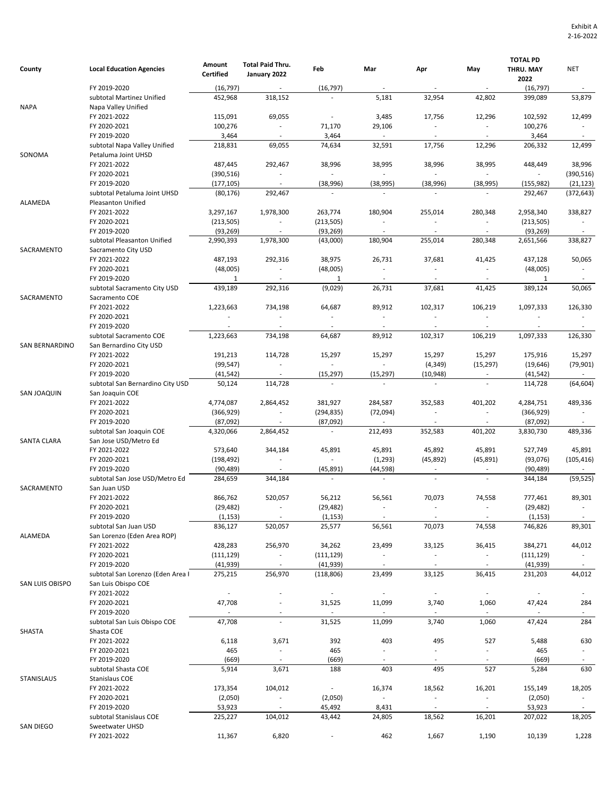| County                                                                                               | <b>Local Education Agencies</b>                     | Amount<br><b>Certified</b> | Total Paid Thru.<br>January 2022      | Feb                                   | Mar                                 | Apr                                 | May                                 | <b>TOTAL PD</b><br>THRU. MAY | <b>NET</b>          |
|------------------------------------------------------------------------------------------------------|-----------------------------------------------------|----------------------------|---------------------------------------|---------------------------------------|-------------------------------------|-------------------------------------|-------------------------------------|------------------------------|---------------------|
|                                                                                                      | FY 2019-2020                                        |                            | $\sim$                                |                                       | $\sim$                              | $\sim$                              |                                     | 2022<br>(16, 797)            |                     |
|                                                                                                      | subtotal Martinez Unified                           | (16, 797)<br>452,968       | 318,152                               | (16, 797)<br>$\overline{\phantom{a}}$ | 5,181                               | 32,954                              | $\sim$<br>42,802                    | 399,089                      | $\sim$<br>53,879    |
| <b>NAPA</b><br>SONOMA<br>ALAMEDA<br>SACRAMENTO<br>SACRAMENTO<br><b>SAN BERNARDINO</b><br>SAN JOAQUIN | Napa Valley Unified                                 |                            |                                       |                                       |                                     |                                     |                                     |                              |                     |
|                                                                                                      | FY 2021-2022                                        | 115,091                    | 69,055                                | $\overline{\phantom{a}}$              | 3,485                               | 17,756                              | 12,296                              | 102,592                      | 12,499              |
|                                                                                                      | FY 2020-2021                                        | 100,276                    | $\sim$                                | 71,170                                | 29,106                              | $\blacksquare$                      | $\sim$                              | 100,276                      | $\sim$              |
|                                                                                                      | FY 2019-2020                                        | 3,464                      | $\sim$                                | 3,464                                 | $\overline{\phantom{a}}$            | $\sim$                              | $\sim$                              | 3,464                        | $\sim$              |
|                                                                                                      | subtotal Napa Valley Unified                        | 218,831                    | 69,055                                | 74,634                                | 32,591                              | 17,756                              | 12,296                              | 206,332                      | 12,499              |
|                                                                                                      | Petaluma Joint UHSD                                 |                            |                                       |                                       |                                     |                                     |                                     |                              |                     |
|                                                                                                      | FY 2021-2022                                        | 487,445                    | 292,467                               | 38,996                                | 38,995                              | 38,996                              | 38,995                              | 448,449                      | 38,996              |
|                                                                                                      | FY 2020-2021                                        | (390, 516)                 | $\sim$                                |                                       | $\sim$                              | $\sim$                              |                                     | ÷.                           | (390, 516)          |
|                                                                                                      | FY 2019-2020                                        | (177, 105)                 | $\sim$                                | (38,996)                              | (38, 995)                           | (38,996)                            | (38, 995)                           | (155, 982)                   | (21, 123)           |
|                                                                                                      | subtotal Petaluma Joint UHSD                        | (80, 176)                  | 292,467                               | $\sim$                                | $\sim$                              |                                     |                                     | 292,467                      | (372, 643)          |
|                                                                                                      | Pleasanton Unified                                  |                            |                                       |                                       |                                     |                                     |                                     |                              |                     |
|                                                                                                      | FY 2021-2022<br>FY 2020-2021                        | 3,297,167<br>(213, 505)    | 1,978,300<br>$\overline{\phantom{a}}$ | 263,774<br>(213, 505)                 | 180,904<br>$\overline{\phantom{a}}$ | 255,014<br>$\overline{\phantom{a}}$ | 280,348<br>$\overline{\phantom{a}}$ | 2,958,340<br>(213, 505)      | 338,827<br>$\sim$   |
|                                                                                                      | FY 2019-2020                                        | (93, 269)                  |                                       | (93, 269)                             | $\sim$                              | $\sim$                              | $\sim$                              | (93, 269)                    |                     |
|                                                                                                      | subtotal Pleasanton Unified                         | 2,990,393                  | 1,978,300                             | (43,000)                              | 180,904                             | 255,014                             | 280,348                             | 2,651,566                    | 338,827             |
|                                                                                                      | Sacramento City USD                                 |                            |                                       |                                       |                                     |                                     |                                     |                              |                     |
|                                                                                                      | FY 2021-2022                                        | 487,193                    | 292,316                               | 38,975                                | 26,731                              | 37,681                              | 41,425                              | 437,128                      | 50,065              |
|                                                                                                      | FY 2020-2021                                        | (48,005)                   | $\sim$                                | (48,005)                              | $\sim$                              | $\sim$                              | $\sim$                              | (48,005)                     | $\sim$              |
|                                                                                                      | FY 2019-2020                                        | $\mathbf{1}$               | $\sim$                                | 1                                     | $\sim$                              | $\sim$                              | $\sim$                              | $\mathbf{1}$                 | $\sim$              |
|                                                                                                      | subtotal Sacramento City USD                        | 439,189                    | 292,316                               | (9,029)                               | 26,731                              | 37,681                              | 41,425                              | 389,124                      | 50,065              |
|                                                                                                      | Sacramento COE                                      |                            |                                       |                                       |                                     |                                     |                                     |                              |                     |
|                                                                                                      | FY 2021-2022                                        | 1,223,663                  | 734,198                               | 64,687                                | 89,912                              | 102,317                             | 106,219                             | 1,097,333                    | 126,330             |
|                                                                                                      | FY 2020-2021                                        | $\overline{\phantom{a}}$   | $\overline{\phantom{a}}$              | $\sim$                                | $\mathcal{L}_{\mathcal{A}}$         | $\overline{\phantom{a}}$            | $\overline{\phantom{a}}$            | $\overline{\phantom{a}}$     |                     |
|                                                                                                      | FY 2019-2020                                        | $\sim$                     | $\sim$                                | $\sim$                                | $\sim$                              | $\sim$                              | $\sim$                              | $\sim$                       | $\sim$              |
|                                                                                                      | subtotal Sacramento COE                             | 1,223,663                  | 734,198                               | 64,687                                | 89,912                              | 102,317                             | 106,219                             | 1,097,333                    | 126,330             |
|                                                                                                      | San Bernardino City USD                             |                            |                                       |                                       |                                     |                                     |                                     |                              |                     |
|                                                                                                      | FY 2021-2022                                        | 191,213                    | 114,728                               | 15,297                                | 15,297                              | 15,297                              | 15,297                              | 175,916                      | 15,297              |
|                                                                                                      | FY 2020-2021                                        | (99, 547)                  | $\sim$                                | $\overline{\phantom{a}}$              | $\sim$                              | (4, 349)                            | (15, 297)                           | (19, 646)                    | (79, 901)           |
|                                                                                                      | FY 2019-2020                                        | (41, 542)                  | $\sim$<br>114,728                     | (15, 297)<br>$\sim$                   | (15, 297)<br>$\mathcal{L}$          | (10, 948)<br>$\sim$                 | $\sim$                              | (41, 542)                    | $\sim$<br>(64, 604) |
|                                                                                                      | subtotal San Bernardino City USD<br>San Joaquin COE | 50,124                     |                                       |                                       |                                     |                                     |                                     | 114,728                      |                     |
|                                                                                                      | FY 2021-2022                                        | 4,774,087                  | 2,864,452                             | 381,927                               | 284,587                             | 352,583                             | 401,202                             | 4,284,751                    | 489,336             |
|                                                                                                      | FY 2020-2021                                        | (366, 929)                 | $\overline{\phantom{a}}$              | (294, 835)                            | (72,094)                            | $\overline{\phantom{a}}$            | $\sim$                              | (366, 929)                   |                     |
|                                                                                                      | FY 2019-2020                                        | (87,092)                   |                                       | (87,092)                              | $\sim$                              |                                     |                                     | (87,092)                     |                     |
|                                                                                                      | subtotal San Joaquin COE                            | 4,320,066                  | 2,864,452                             | $\sim$                                | 212,493                             | 352,583                             | 401,202                             | 3,830,730                    | 489,336             |
| <b>SANTA CLARA</b>                                                                                   | San Jose USD/Metro Ed                               |                            |                                       |                                       |                                     |                                     |                                     |                              |                     |
|                                                                                                      | FY 2021-2022                                        | 573,640                    | 344,184                               | 45,891                                | 45,891                              | 45,892                              | 45,891                              | 527,749                      | 45,891              |
|                                                                                                      | FY 2020-2021                                        | (198, 492)                 |                                       | $\sim$                                | (1,293)                             | (45,892)                            | (45, 891)                           | (93,076)                     | (105, 416)          |
|                                                                                                      | FY 2019-2020                                        | (90, 489)                  |                                       | (45, 891)                             | (44, 598)                           |                                     |                                     | (90, 489)                    | $\sim$              |
|                                                                                                      | subtotal San Jose USD/Metro Ed                      | 284,659                    | 344,184                               | $\sim$                                | $\sim$                              | $\overline{\phantom{a}}$            | $\sim$                              | 344,184                      | (59, 525)           |
| SACRAMENTO                                                                                           | San Juan USD                                        |                            |                                       |                                       |                                     |                                     |                                     |                              |                     |
|                                                                                                      | FY 2021-2022                                        | 866,762                    | 520,057                               | 56,212                                | 56,561                              | 70,073                              | 74,558                              | 777,461                      | 89,301              |
|                                                                                                      | FY 2020-2021                                        | (29, 482)                  |                                       | (29, 482)                             |                                     |                                     |                                     | (29, 482)                    |                     |
|                                                                                                      | FY 2019-2020                                        | (1, 153)                   |                                       | (1, 153)                              | $\sim$                              |                                     |                                     | (1, 153)                     | $\sim$              |
| ALAMEDA                                                                                              | subtotal San Juan USD                               | 836,127                    | 520,057                               | 25,577                                | 56,561                              | 70,073                              | 74,558                              | 746,826                      | 89,301              |
|                                                                                                      | San Lorenzo (Eden Area ROP)<br>FY 2021-2022         |                            |                                       |                                       |                                     |                                     |                                     |                              |                     |
|                                                                                                      | FY 2020-2021                                        | 428,283<br>(111, 129)      | 256,970<br>$\overline{\phantom{a}}$   | 34,262<br>(111, 129)                  | 23,499<br>$\overline{\phantom{a}}$  | 33,125<br>$\sim$                    | 36,415<br>$\sim$                    | 384,271<br>(111, 129)        | 44,012<br>$\sim$    |
|                                                                                                      | FY 2019-2020                                        | (41, 939)                  | $\sim$                                | (41, 939)                             | $\sim$                              | $\sim$                              | $\sim$                              | (41, 939)                    | $\sim$              |
|                                                                                                      | subtotal San Lorenzo (Eden Area I                   | 275,215                    | 256,970                               | (118, 806)                            | 23,499                              | 33,125                              | 36,415                              | 231,203                      | 44,012              |
| SAN LUIS OBISPO                                                                                      | San Luis Obispo COE                                 |                            |                                       |                                       |                                     |                                     |                                     |                              |                     |
|                                                                                                      | FY 2021-2022                                        | $\overline{\phantom{a}}$   | $\overline{\phantom{a}}$              | $\sim$                                | $\overline{\phantom{a}}$            | $\sim$                              | $\sim$                              | $\sim$                       |                     |
|                                                                                                      | FY 2020-2021                                        | 47,708                     | $\overline{\phantom{a}}$              | 31,525                                | 11,099                              | 3,740                               | 1,060                               | 47,424                       | 284                 |
|                                                                                                      | FY 2019-2020                                        | $\sim$                     |                                       | $\sim$                                | $\mathcal{L}_{\mathcal{A}}$         | $\sim$                              | $\sim$                              | $\overline{\phantom{a}}$     | $\sim$              |
|                                                                                                      | subtotal San Luis Obispo COE                        | 47,708                     | $\overline{\phantom{a}}$              | 31,525                                | 11,099                              | 3,740                               | 1,060                               | 47,424                       | 284                 |
| SHASTA                                                                                               | Shasta COE                                          |                            |                                       |                                       |                                     |                                     |                                     |                              |                     |
|                                                                                                      | FY 2021-2022                                        | 6,118                      | 3,671                                 | 392                                   | 403                                 | 495                                 | 527                                 | 5,488                        | 630                 |
|                                                                                                      | FY 2020-2021                                        | 465                        | $\sim$                                | 465                                   | $\mathcal{L}_{\mathcal{A}}$         | $\blacksquare$                      | $\overline{\phantom{a}}$            | 465                          | $\sim$              |
|                                                                                                      | FY 2019-2020                                        | (669)                      | $\sim$                                | (669)                                 | $\overline{\phantom{a}}$            |                                     |                                     | (669)                        |                     |
|                                                                                                      | subtotal Shasta COE                                 | 5,914                      | 3,671                                 | 188                                   | 403                                 | 495                                 | 527                                 | 5,284                        | 630                 |
| STANISLAUS                                                                                           | Stanislaus COE                                      |                            |                                       |                                       |                                     |                                     |                                     |                              |                     |
|                                                                                                      | FY 2021-2022                                        | 173,354                    | 104,012                               | $\sim$                                | 16,374                              | 18,562                              | 16,201                              | 155,149                      | 18,205              |
|                                                                                                      | FY 2020-2021                                        | (2,050)                    | $\blacksquare$                        | (2,050)                               | $\blacksquare$                      | $\overline{\phantom{a}}$            | $\sim$                              | (2,050)                      | $\sim$              |
|                                                                                                      | FY 2019-2020                                        | 53,923                     | $\sim$                                | 45,492                                | 8,431                               | $\overline{\phantom{a}}$            | $\sim$                              | 53,923                       |                     |
| SAN DIEGO                                                                                            | subtotal Stanislaus COE<br>Sweetwater UHSD          | 225,227                    | 104,012                               | 43,442                                | 24,805                              | 18,562                              | 16,201                              | 207,022                      | 18,205              |
|                                                                                                      | FY 2021-2022                                        | 11,367                     | 6,820                                 | $\blacksquare$                        | 462                                 | 1,667                               | 1,190                               | 10,139                       | 1,228               |
|                                                                                                      |                                                     |                            |                                       |                                       |                                     |                                     |                                     |                              |                     |